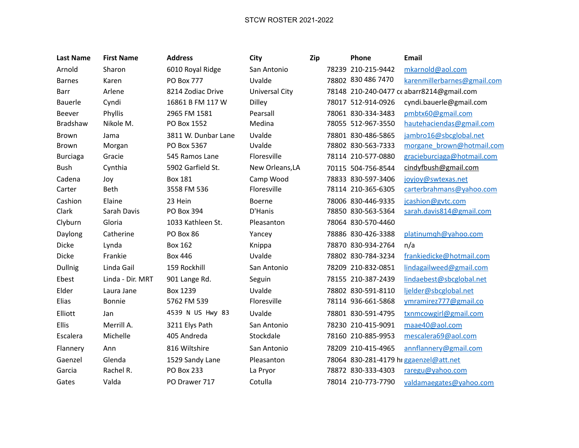## STCW ROSTER 2021-2022

| <b>Last Name</b> | <b>First Name</b> | <b>Address</b>      | City                  | Zip | Phone              | <b>Email</b>                              |
|------------------|-------------------|---------------------|-----------------------|-----|--------------------|-------------------------------------------|
| Arnold           | Sharon            | 6010 Royal Ridge    | San Antonio           |     | 78239 210-215-9442 | mkarnold@aol.com                          |
| <b>Barnes</b>    | Karen             | <b>PO Box 777</b>   | Uvalde                |     | 78802 830 486 7470 | karenmillerbarnes@gmail.com               |
| Barr             | Arlene            | 8214 Zodiac Drive   | <b>Universal City</b> |     |                    | 78148 210-240-0477 ce abarr8214@gmail.com |
| Bauerle          | Cyndi             | 16861 B FM 117 W    | <b>Dilley</b>         |     | 78017 512-914-0926 | cyndi.bauerle@gmail.com                   |
| Beever           | Phyllis           | 2965 FM 1581        | Pearsall              |     | 78061 830-334-3483 | pmbtx60@gmail.com                         |
| Bradshaw         | Nikole M.         | PO Box 1552         | Medina                |     | 78055 512-967-3550 | hautehaciendas@gmail.com                  |
| Brown            | Jama              | 3811 W. Dunbar Lane | Uvalde                |     | 78801 830-486-5865 | jambro16@sbcglobal.net                    |
| <b>Brown</b>     | Morgan            | PO Box 5367         | Uvalde                |     | 78802 830-563-7333 | morgane brown@hotmail.com                 |
| <b>Burciaga</b>  | Gracie            | 545 Ramos Lane      | Floresville           |     | 78114 210-577-0880 | gracieburciaga@hotmail.com                |
| <b>Bush</b>      | Cynthia           | 5902 Garfield St.   | New Orleans, LA       |     | 70115 504-756-8544 | cindyfbush@gmail.com                      |
| Cadena           | Joy               | <b>Box 181</b>      | Camp Wood             |     | 78833 830-597-3406 | joyjoy@swtexas.net                        |
| Carter           | Beth              | 3558 FM 536         | Floresville           |     | 78114 210-365-6305 | carterbrahmans@yahoo.com                  |
| Cashion          | Elaine            | 23 Hein             | Boerne                |     | 78006 830-446-9335 | jcashion@gvtc.com                         |
| Clark            | Sarah Davis       | PO Box 394          | D'Hanis               |     | 78850 830-563-5364 | sarah.davis814@gmail.com                  |
| Clyburn          | Gloria            | 1033 Kathleen St.   | Pleasanton            |     | 78064 830-570-4460 |                                           |
| Daylong          | Catherine         | PO Box 86           | Yancey                |     | 78886 830-426-3388 | platinumqh@yahoo.com                      |
| Dicke            | Lynda             | <b>Box 162</b>      | Knippa                |     | 78870 830-934-2764 | n/a                                       |
| <b>Dicke</b>     | Frankie           | <b>Box 446</b>      | Uvalde                |     | 78802 830-784-3234 | frankiedicke@hotmail.com                  |
| Dullnig          | Linda Gail        | 159 Rockhill        | San Antonio           |     | 78209 210-832-0851 | lindagailweed@gmail.com                   |
| Ebest            | Linda - Dir. MRT  | 901 Lange Rd.       | Seguin                |     | 78155 210-387-2439 | lindaebest@sbcglobal.net                  |
| Elder            | Laura Jane        | Box 1239            | Uvalde                |     | 78802 830-591-8110 | ljelder@sbcglobal.net                     |
| Elias            | Bonnie            | 5762 FM 539         | Floresville           |     | 78114 936-661-5868 | ymramirez777@gmail.co                     |
| Elliott          | Jan               | 4539 N US Hwy 83    | Uvalde                |     | 78801 830-591-4795 | txnmcowgirl@gmail.com                     |
| Ellis            | Merrill A.        | 3211 Elys Path      | San Antonio           |     | 78230 210-415-9091 | maae40@aol.com                            |
| Escalera         | Michelle          | 405 Andreda         | Stockdale             |     | 78160 210-885-9953 | mescalera69@aol.com                       |
| Flannery         | Ann               | 816 Wiltshire       | San Antonio           |     | 78209 210-415-4965 | annflannery@gmail.com                     |
| Gaenzel          | Glenda            | 1529 Sandy Lane     | Pleasanton            |     |                    | 78064 830-281-4179 hi ggaenzel@att.net    |
| Garcia           | Rachel R.         | <b>PO Box 233</b>   | La Pryor              |     | 78872 830-333-4303 | raregu@yahoo.com                          |
| Gates            | Valda             | PO Drawer 717       | Cotulla               |     | 78014 210-773-7790 | valdamaegates@yahoo.com                   |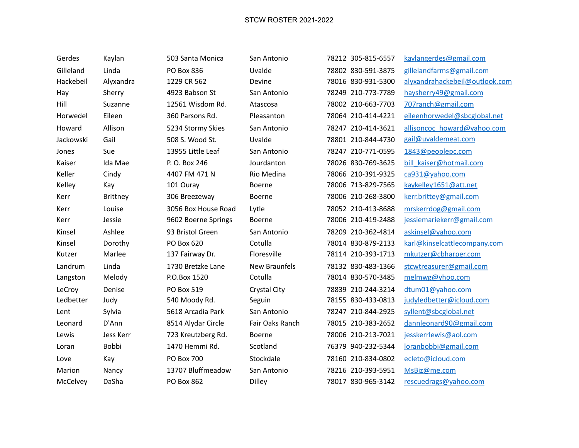## STCW ROSTER 2021-2022

| Gerdes    | Kaylan    | 503 Santa Monica    | San Antonio          | 78212 305-815-6557 | kaylangerdes@gmail.com         |
|-----------|-----------|---------------------|----------------------|--------------------|--------------------------------|
| Gilleland | Linda     | PO Box 836          | Uvalde               | 78802 830-591-3875 | gillelandfarms@gmail.com       |
| Hackebeil | Alyxandra | 1229 CR 562         | Devine               | 78016 830-931-5300 | alyxandrahackebeil@outlook.com |
| Hay       | Sherry    | 4923 Babson St      | San Antonio          | 78249 210-773-7789 | haysherry49@gmail.com          |
| Hill      | Suzanne   | 12561 Wisdom Rd.    | Atascosa             | 78002 210-663-7703 | 707ranch@gmail.com             |
| Horwedel  | Eileen    | 360 Parsons Rd.     | Pleasanton           | 78064 210-414-4221 | eileenhorwedel@sbcglobal.net   |
| Howard    | Allison   | 5234 Stormy Skies   | San Antonio          | 78247 210-414-3621 | allisoncoc howard@yahoo.com    |
| Jackowski | Gail      | 508 S. Wood St.     | Uvalde               | 78801 210-844-4730 | gail@uvaldemeat.com            |
| Jones     | Sue       | 13955 Little Leaf   | San Antonio          | 78247 210-771-0595 | 1843@peoplepc.com              |
| Kaiser    | Ida Mae   | P. O. Box 246       | Jourdanton           | 78026 830-769-3625 | bill kaiser@hotmail.com        |
| Keller    | Cindy     | 4407 FM 471 N       | Rio Medina           | 78066 210-391-9325 | ca931@yahoo.com                |
| Kelley    | Kay       | 101 Ouray           | Boerne               | 78006 713-829-7565 | kaykelley1651@att.net          |
| Kerr      | Brittney  | 306 Breezeway       | Boerne               | 78006 210-268-3800 | kerr.brittey@gmail.com         |
| Kerr      | Louise    | 3056 Box House Road | Lytle                | 78052 210-413-8688 | mrskerrdog@gmail.com           |
| Kerr      | Jessie    | 9602 Boerne Springs | Boerne               | 78006 210-419-2488 | jessiemariekerr@gmail.com      |
| Kinsel    | Ashlee    | 93 Bristol Green    | San Antonio          | 78209 210-362-4814 | askinsel@yahoo.com             |
| Kinsel    | Dorothy   | PO Box 620          | Cotulla              | 78014 830-879-2133 | karl@kinselcattlecompany.com   |
| Kutzer    | Marlee    | 137 Fairway Dr.     | Floresville          | 78114 210-393-1713 | mkutzer@cbharper.com           |
| Landrum   | Linda     | 1730 Bretzke Lane   | <b>New Braunfels</b> | 78132 830-483-1366 | stcwtreasurer@gmail.com        |
| Langston  | Melody    | P.O.Box 1520        | Cotulla              | 78014 830-570-3485 | melmwg@yhoo.com                |
| LeCroy    | Denise    | PO Box 519          | Crystal City         | 78839 210-244-3214 | dtum01@yahoo.com               |
| Ledbetter | Judy      | 540 Moody Rd.       | Seguin               | 78155 830-433-0813 | judyledbetter@icloud.com       |
| Lent      | Sylvia    | 5618 Arcadia Park   | San Antonio          | 78247 210-844-2925 | syllent@sbcglobal.net          |
| Leonard   | D'Ann     | 8514 Alydar Circle  | Fair Oaks Ranch      | 78015 210-383-2652 | dannleonard90@gmail.com        |
| Lewis     | Jess Kerr | 723 Kreutzberg Rd.  | Boerne               | 78006 210-213-7021 | jesskerrlewis@aol.com          |
| Loran     | Bobbi     | 1470 Hemmi Rd.      | Scotland             | 76379 940-232-5344 | loranbobbi@gmail.com           |
| Love      | Kay       | PO Box 700          | Stockdale            | 78160 210-834-0802 | ecleto@icloud.com              |
| Marion    | Nancy     | 13707 Bluffmeadow   | San Antonio          | 78216 210-393-5951 | MsBiz@me.com                   |
| McCelvey  | DaSha     | PO Box 862          | <b>Dilley</b>        | 78017 830-965-3142 | rescuedrags@yahoo.com          |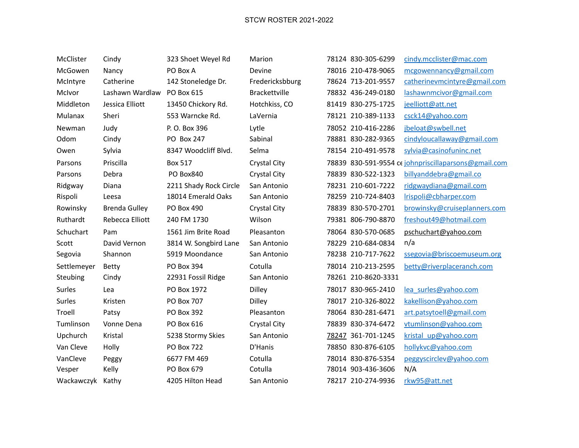| McClister   | Cindy                | 323 Shoet Weyel Rd     | Marion              | 78124 830-305-6299  | cindy.mcclister@mac.com                              |
|-------------|----------------------|------------------------|---------------------|---------------------|------------------------------------------------------|
| McGowen     | Nancy                | PO Box A               | Devine              | 78016 210-478-9065  | mcgowennancy@gmail.com                               |
| McIntyre    | Catherine            | 142 Stoneledge Dr.     | Fredericksbburg     | 78624 713-201-9557  | catherinevmcintyre@gmail.com                         |
| McIvor      | Lashawn Wardlaw      | PO Box 615             | Brackettville       | 78832 436-249-0180  | lashawnmcivor@gmail.com                              |
| Middleton   | Jessica Elliott      | 13450 Chickory Rd.     | Hotchkiss, CO       | 81419 830-275-1725  | jeelliott@att.net                                    |
| Mulanax     | Sheri                | 553 Warncke Rd.        | LaVernia            | 78121 210-389-1133  | csck14@yahoo.com                                     |
| Newman      | Judy                 | P. O. Box 396          | Lytle               | 78052 210-416-2286  | jbeloat@swbell.net                                   |
| Odom        | Cindy                | PO Box 247             | Sabinal             | 78881 830-282-9365  | cindyloucallaway@gmail.com                           |
| Owen        | Sylvia               | 8347 Woodcliff Blvd.   | Selma               | 78154 210-491-9578  | sylvia@casinofuninc.net                              |
| Parsons     | Priscilla            | <b>Box 517</b>         | Crystal City        |                     | 78839 830-591-9554 cc johnpriscillaparsons@gmail.com |
| Parsons     | Debra                | PO Box840              | <b>Crystal City</b> | 78839 830-522-1323  | billyanddebra@gmail.co                               |
| Ridgway     | Diana                | 2211 Shady Rock Circle | San Antonio         | 78231 210-601-7222  | ridgwaydiana@gmail.com                               |
| Rispoli     | Leesa                | 18014 Emerald Oaks     | San Antonio         | 78259 210-724-8403  | Irispoli@cbharper.com                                |
| Rowinsky    | <b>Brenda Gulley</b> | PO Box 490             | Crystal City        | 78839 830-570-2701  | browinsky@cruiseplanners.com                         |
| Ruthardt    | Rebecca Elliott      | 240 FM 1730            | Wilson              | 79381 806-790-8870  | freshout49@hotmail.com                               |
| Schuchart   | Pam                  | 1561 Jim Brite Road    | Pleasanton          | 78064 830-570-0685  | pschuchart@yahoo.com                                 |
| Scott       | David Vernon         | 3814 W. Songbird Lane  | San Antonio         | 78229 210-684-0834  | n/a                                                  |
| Segovia     | Shannon              | 5919 Moondance         | San Antonio         | 78238 210-717-7622  | ssegovia@briscoemuseum.org                           |
| Settlemeyer | <b>Betty</b>         | PO Box 394             | Cotulla             | 78014 210-213-2595  | betty@riverplaceranch.com                            |
| Steubing    | Cindy                | 22931 Fossil Ridge     | San Antonio         | 78261 210-8620-3331 |                                                      |
| Surles      | Lea                  | PO Box 1972            | <b>Dilley</b>       | 78017 830-965-2410  | lea surles@yahoo.com                                 |
| Surles      | Kristen              | PO Box 707             | Dilley              | 78017 210-326-8022  | kakellison@yahoo.com                                 |
| Troell      | Patsy                | PO Box 392             | Pleasanton          | 78064 830-281-6471  | art.patsytoell@gmail.com                             |
| Tumlinson   | Vonne Dena           | PO Box 616             | Crystal City        | 78839 830-374-6472  | vtumlinson@yahoo.com                                 |
| Upchurch    | Kristal              | 5238 Stormy Skies      | San Antonio         | 78247 361-701-1245  | kristal up@yahoo.com                                 |
| Van Cleve   | Holly                | <b>PO Box 722</b>      | D'Hanis             | 78850 830-876-6105  | hollykvc@yahoo.com                                   |
| VanCleve    | Peggy                | 6677 FM 469            | Cotulla             | 78014 830-876-5354  | peggyscirclev@yahoo.com                              |
| Vesper      | Kelly                | PO Box 679             | Cotulla             | 78014 903-436-3606  | N/A                                                  |
| Wackawczyk  | Kathy                | 4205 Hilton Head       | San Antonio         | 78217 210-274-9936  | rkw95@att.net                                        |